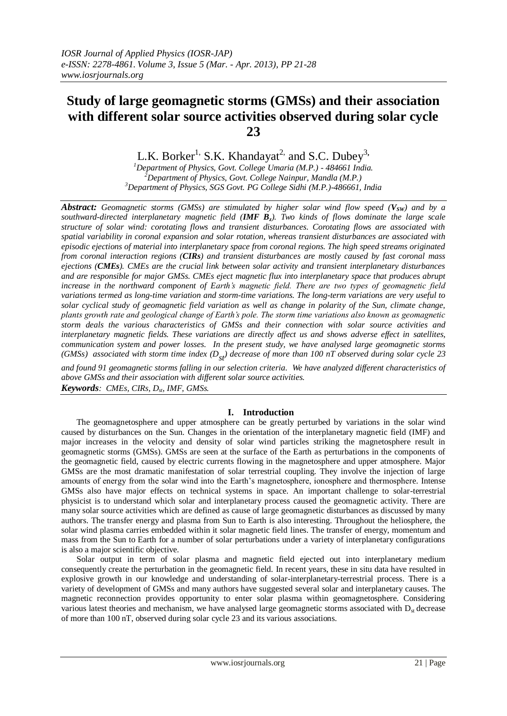# **Study of large geomagnetic storms (GMSs) and their association with different solar source activities observed during solar cycle 23**

L.K. Borker<sup>1,</sup> S.K. Khandayat<sup>2,</sup> and S.C. Dubey<sup>3</sup>,

*<sup>1</sup>Department of Physics, Govt. College Umaria (M.P.) - 484661 India. <sup>2</sup>Department of Physics, Govt. College Nainpur, Mandla (M.P.) <sup>3</sup>Department of Physics, SGS Govt. PG College Sidhi (M.P.)-486661, India*

*Abstract: Geomagnetic storms (GMSs) are stimulated by higher solar wind flow speed (VSW) and by a southward-directed interplanetary magnetic field (IMF Bz). Two kinds of flows dominate the large scale structure of solar wind: corotating flows and transient disturbances. Corotating flows are associated with spatial variability in coronal expansion and solar rotation, whereas transient disturbances are associated with episodic ejections of material into interplanetary space from coronal regions. The high speed streams originated from coronal interaction regions (CIRs) and transient disturbances are mostly caused by fast coronal mass ejections (CMEs). CMEs are the crucial link between solar activity and transient interplanetary disturbances and are responsible for major GMSs. CMEs eject magnetic flux into interplanetary space that produces abrupt increase in the northward component of Earth's magnetic field. There are two types of geomagnetic field variations termed as long-time variation and storm-time variations. The long-term variations are very useful to solar cyclical study of geomagnetic field variation as well as change in polarity of the Sun, climate change, plants growth rate and geological change of Earth's pole. The storm time variations also known as geomagnetic storm deals the various characteristics of GMSs and their connection with solar source activities and interplanetary magnetic fields. These variations are directly affect us and shows adverse effect in satellites, communication system and power losses. In the present study, we have analysed large geomagnetic storms (GMSs)* associated with storm time index  $(D_{st})$  decrease of more than 100 nT observed during solar cycle 23

*and found 91 geomagnetic storms falling in our selection criteria. We have analyzed different characteristics of above GMSs and their association with different solar source activities. Keywords: CMEs, CIRs, Dst, IMF, GMSs.*

## **I. Introduction**

The geomagnetosphere and upper atmosphere can be greatly perturbed by variations in the solar wind caused by disturbances on the Sun. Changes in the orientation of the interplanetary magnetic field (IMF) and major increases in the velocity and density of solar wind particles striking the magnetosphere result in geomagnetic storms (GMSs). GMSs are seen at the surface of the Earth as perturbations in the components of the geomagnetic field, caused by electric currents flowing in the magnetosphere and upper atmosphere. Major GMSs are the most dramatic manifestation of solar terrestrial coupling. They involve the injection of large amounts of energy from the solar wind into the Earth's magnetosphere, ionosphere and thermosphere. Intense GMSs also have major effects on technical systems in space. An important challenge to solar-terrestrial physicist is to understand which solar and interplanetary process caused the geomagnetic activity. There are many solar source activities which are defined as cause of large geomagnetic disturbances as discussed by many authors. The transfer energy and plasma from Sun to Earth is also interesting. Throughout the heliosphere, the solar wind plasma carries embedded within it solar magnetic field lines. The transfer of energy, momentum and mass from the Sun to Earth for a number of solar perturbations under a variety of interplanetary configurations is also a major scientific objective.

Solar output in term of solar plasma and magnetic field ejected out into interplanetary medium consequently create the perturbation in the geomagnetic field. In recent years, these in situ data have resulted in explosive growth in our knowledge and understanding of solar-interplanetary-terrestrial process. There is a variety of development of GMSs and many authors have suggested several solar and interplanetary causes. The magnetic reconnection provides opportunity to enter solar plasma within geomagnetosphere. Considering various latest theories and mechanism, we have analysed large geomagnetic storms associated with  $D_{st}$  decrease of more than 100 nT, observed during solar cycle 23 and its various associations.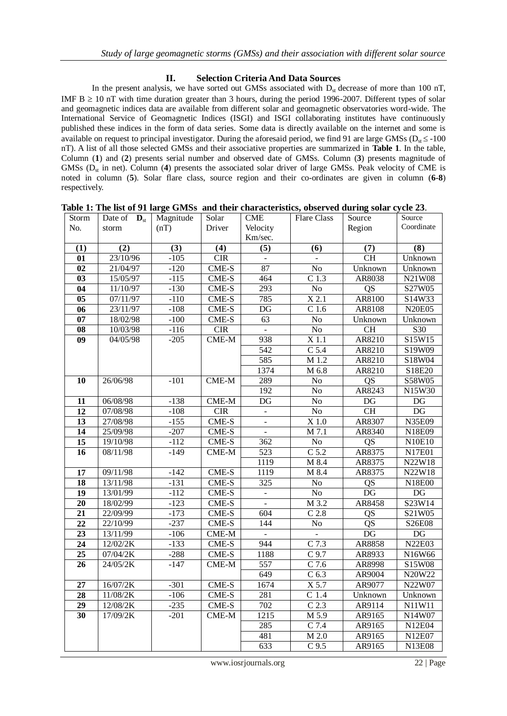#### **II. Selection Criteria And Data Sources**

In the present analysis, we have sorted out GMSs associated with  $D_{st}$  decrease of more than 100 nT, IMF  $B \ge 10$  nT with time duration greater than 3 hours, during the period 1996-2007. Different types of solar and geomagnetic indices data are available from different solar and geomagnetic observatories word-wide. The International Service of Geomagnetic Indices (ISGI) and ISGI collaborating institutes have continuously published these indices in the form of data series. Some data is directly available on the internet and some is available on request to principal investigator. During the aforesaid period, we find 91 are large GMSs ( $D<sub>st</sub> \le -100$ ) nT). A list of all those selected GMSs and their associative properties are summarized in **Table 1**. In the table, Column (**1**) and (**2**) presents serial number and observed date of GMSs. Column (**3**) presents magnitude of GMSs (D<sub>st</sub> in net). Column (4) presents the associated solar driver of large GMSs. Peak velocity of CME is noted in column (**5**). Solar flare class, source region and their co-ordinates are given in column (**6-8**) respectively.

| Storm           | Date of<br>$\mathbf{D}_{\rm st}$ | Magnitude | Solar        | <b>CME</b>             | <b>Flare Class</b> | Source          | Source                 |
|-----------------|----------------------------------|-----------|--------------|------------------------|--------------------|-----------------|------------------------|
| No.             | storm                            | (nT)      | Driver       | Velocity               |                    | Region          | Coordinate             |
|                 |                                  |           |              | Km/sec.                |                    |                 |                        |
| (1)             | (2)                              | (3)       | (4)          | (5)                    | (6)                | (7)             | (8)                    |
| $\overline{01}$ | 23/10/96                         | $-105$    | CIR          |                        |                    | CH              | Unknown                |
| $\overline{02}$ | 21/04/97                         | $-120$    | CME-S        | 87                     | $\overline{No}$    | Unknown         | Unknown                |
| 03              | 15/05/97                         | $-115$    | CME-S        | 464                    | C <sub>1.3</sub>   | AR8038          | <b>N21W08</b>          |
| $\overline{04}$ | 11/10/97                         | $-130$    | <b>CME-S</b> | 293                    | N <sub>o</sub>     | $\overline{QS}$ | S27W05                 |
| $\overline{05}$ | 07/11/97                         | $-110$    | CME-S        | 785                    | $\overline{X}$ 2.1 | AR8100          | S14W33                 |
| 06              | 23/11/97                         | $-108$    | CME-S        | $\overline{\text{DG}}$ | $\overline{C}$ 1.6 | AR8108          | <b>N20E05</b>          |
| 07              | 18/02/98                         | $-100$    | CME-S        | $\overline{63}$        | $\overline{No}$    | Unknown         | Unknown                |
| 08              | 10/03/98                         | $-116$    | CIR          | $\blacksquare$         | $\overline{No}$    | CH              | S30                    |
| $\overline{09}$ | 04/05/98                         | $-205$    | $CME-M$      | 938                    | $\overline{X1.1}$  | AR8210          | S15W15                 |
|                 |                                  |           |              | 542                    | $C$ 5.4            | AR8210          | S19W09                 |
|                 |                                  |           |              | 585                    | M 1.2              | AR8210          | S18W04                 |
|                 |                                  |           |              | 1374                   | M 6.8              | AR8210          | S18E20                 |
| 10              | 26/06/98                         | $-101$    | $CME-M$      | 289                    | No                 | QS              | S58W05                 |
|                 |                                  |           |              | 192                    | No                 | AR8243          | N15W30                 |
| 11              | 06/08/98                         | $-138$    | $CME-M$      | $DG$                   | No                 | $DG$            | $\mathop{\rm DG}$      |
| 12              | 07/08/98                         | $-108$    | <b>CIR</b>   |                        | No                 | <b>CH</b>       | DG                     |
| $\overline{13}$ | 27/08/98                         | $-155$    | CME-S        | $\overline{a}$         | $\overline{X}$ 1.0 | AR8307          | N35E09                 |
| 14              | 25/09/98                         | $-207$    | $CME-S$      |                        | M 7.1              | AR8340          | N18E09                 |
| 15              | 19/10/98                         | $-112$    | CME-S        | 362                    | No                 | QS              | N10E10                 |
| 16              | 08/11/98                         | $-149$    | $CME-M$      | 523                    | $C$ 5.2            | AR8375          | N17E01                 |
|                 |                                  |           |              | 1119                   | M 8.4              | AR8375          | N22W18                 |
| 17              | 09/11/98                         | $-142$    | CME-S        | 1119                   | M 8.4              | AR8375          | N22W18                 |
| $\overline{18}$ | 13/11/98                         | $-131$    | CME-S        | $\frac{1}{325}$        | $\overline{No}$    | QS              | N18E00                 |
| $\overline{19}$ | 13/01/99                         | $-112$    | CME-S        | $\overline{a}$         | $\overline{No}$    | $\overline{DG}$ | $\mathbf{D}\mathbf{G}$ |
| 20              | 18/02/99                         | $-123$    | CME-S        | $\Box$                 | M 3.2              | AR8458          | S23W14                 |
| 21              | 22/09/99                         | $-173$    | CME-S        | 604                    | $C$ 2.8            | QS              | S21W05                 |
| $2\overline{2}$ | 22/10/99                         | $-237$    | CME-S        | 144                    | No                 | QS              | S26E08                 |
| $\overline{23}$ | 13/11/99                         | $-106$    | $CME-M$      | $\mathbf{r}$           | $\overline{a}$     | $\overline{DG}$ | $\overline{DG}$        |
| 24              | 12/02/2K                         | $-133$    | CME-S        | 944                    | $C$ 7.3            | AR8858          | <b>N22E03</b>          |
| $\overline{25}$ | 07/04/2K                         | $-288$    | CME-S        | 1188                   | $\overline{C}$ 9.7 | AR8933          | N16W66                 |
| 26              | 24/05/2K                         | $-147$    | $CME-M$      | 557                    | $\overline{C}$ 7.6 | AR8998          | S15W08                 |
|                 |                                  |           |              | $\overline{649}$       | C <sub>6.3</sub>   | AR9004          | N20W22                 |
| $\overline{27}$ | 16/07/2K                         | $-301$    | $CME-S$      | 1674                   | X 5.7              | AR9077          | N22W07                 |
| $\overline{28}$ | 11/08/2K                         | $-106$    | $CME-S$      | 281                    | $C$ 1.4            | Unknown         | Unknown                |
| 29              | 12/08/2K                         | $-235$    | CME-S        | 702                    | C <sub>2.3</sub>   | AR9114          | N11W11                 |
| 30              | 17/09/2K                         | $-201$    | CME-M        | 1215                   | $\overline{M}$ 5.9 | AR9165          | N14W07                 |
|                 |                                  |           |              | 285                    | $C$ 7.4            | AR9165          | N12E04                 |
|                 |                                  |           |              | 481                    | $\overline{M}$ 2.0 | AR9165          | N12E07                 |
|                 |                                  |           |              | 633                    | $\overline{C9.5}$  | AR9165          | <b>N13E08</b>          |

**Table 1: The list of 91 large GMSs and their characteristics, observed during solar cycle 23**.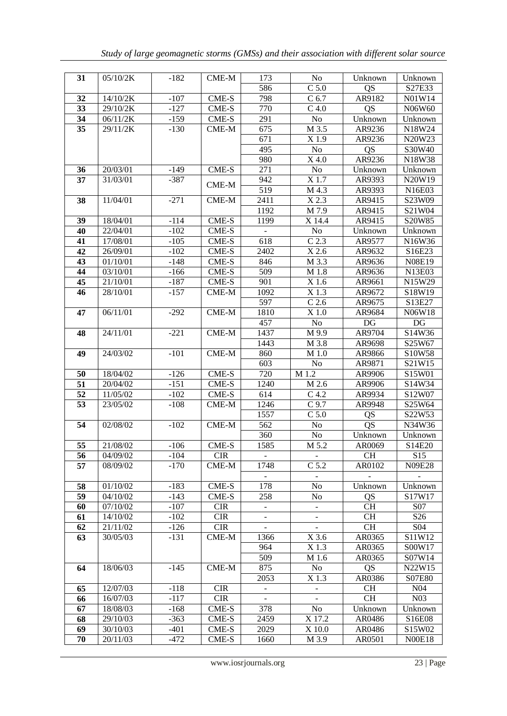| 31       | 05/10/2K              | $-182$           | CME-M          | 173                      | No               | Unknown         | Unknown                                |
|----------|-----------------------|------------------|----------------|--------------------------|------------------|-----------------|----------------------------------------|
|          |                       |                  |                | 586                      | $C$ 5.0          | QS              | S27E33                                 |
| 32       | 14/10/2K              | $-107$           | CME-S          | 798                      | C <sub>6.7</sub> | AR9182          | N01W14                                 |
| 33       | 29/10/2K              | $-127$           | CME-S          | 770                      | C 4.0            | QS              | N06W60                                 |
| 34       | 06/11/2K              | $-159$           | CME-S          | 291                      | No               | Unknown         | Unknown                                |
| 35       | 29/11/2K              | $-130$           | CME-M          | 675                      | M 3.5            | AR9236          | N18W24                                 |
|          |                       |                  |                | 671                      | X 1.9            | AR9236          | N <sub>20</sub> W <sub>23</sub>        |
|          |                       |                  |                | 495                      | No               | QS              | S30W40                                 |
|          |                       |                  |                | 980                      | X 4.0            | AR9236          | N <sub>18</sub> W <sub>38</sub>        |
| 36       | 20/03/01              | $-149$           | CME-S          | 271                      | No               | Unknown         | Unknown                                |
| 37       | 31/03/01              | $-387$           |                | 942                      | X 1.7            | AR9393          | N20W19                                 |
|          |                       |                  | $CME-M$        | 519                      | M 4.3            | AR9393          | N <sub>16</sub> E <sub>03</sub>        |
| 38       | 11/04/01              | $-271$           | $CME-M$        | 2411                     | $X$ 2.3          | AR9415          | S23W09                                 |
|          |                       |                  |                | 1192                     | M 7.9            | AR9415          | S21W04                                 |
| 39       | 18/04/01              | $-114$           | CME-S          | 1199                     | X 14.4           | AR9415          | S20W85                                 |
| 40       | 22/04/01              | $-102$           | CME-S          |                          | No               | Unknown         | Unknown                                |
| 41       | 17/08/01              | $-105$           | CME-S          | 618                      | C <sub>2.3</sub> | AR9577          | N <sub>16</sub> W <sub>36</sub>        |
| 42       | 26/09/01              | $-102$           | CME-S          | 2402                     | $X$ 2.6          | AR9632          | S16E23                                 |
| 43       | 01/10/01              | $-148$           | CME-S          | 846                      | M 3.3            | AR9636          | <b>N08E19</b>                          |
| 44       | 03/10/01              | $-166$           | CME-S          | 509                      | M 1.8            | AR9636          | N13E03                                 |
| 45       | 21/10/01              | $-187$           | CME-S          | 901                      | X 1.6            | AR9661          | N15W29                                 |
| 46       | 28/10/01              | $-157$           | CME-M          | 1092                     | X 1.3            | AR9672          | S18W19                                 |
|          |                       |                  |                | 597                      | $C$ 2.6          | AR9675          | S <sub>13E27</sub>                     |
| 47       | 06/11/01              | $-292$           | $CME-M$        | 1810                     | X 1.0            | AR9684          | N06W18                                 |
|          |                       |                  |                | 457                      | No               | DG              | DG                                     |
| 48       | 24/11/01              | $-221$           | $CME-M$        | 1437                     | M 9.9            | AR9704          | S14W36                                 |
|          |                       |                  |                | 1443                     | M 3.8            | AR9698          | S <sub>25</sub> W <sub>67</sub>        |
| 49       | $\overline{24}/03/02$ | $-101$           | $CME-M$        | 860                      | M 1.0            | AR9866          | S10W58                                 |
|          |                       |                  |                | 603                      | No               | AR9871          | S21W15                                 |
| 50       | 18/04/02              | $-126$           | CME-S          | 720                      | M 1.2            | AR9906          | S15W01                                 |
| 51       | 20/04/02              | $-151$           | CME-S          | 1240                     | M 2.6            | AR9906          | S <sub>14</sub> W <sub>34</sub>        |
| 52       | 11/05/02              | $-102$           | CME-S          | 614                      | C <sub>4.2</sub> | AR9934          | S12W07                                 |
| 53       | 23/05/02              | $-108$           | CME-M          | 1246                     | $C$ 9.7          | AR9948          | S25W64                                 |
|          |                       |                  |                | 1557                     | $C$ 5.0          | QS              | S22W53                                 |
| 54       | 02/08/02              | $-102$           | $CME-M$        | 562                      | No               | QS              | N34W36                                 |
|          |                       |                  |                | 360                      | No               | Unknown         | Unknown                                |
| 55       | 21/08/02              | $-106$           | CME-S          | 1585                     | M 5.2            | AR0069          | S <sub>14</sub> E <sub>20</sub>        |
| 56       | 04/09/02              | $-104$           | <b>CIR</b>     | $\sim$                   |                  | CH <sub>.</sub> | S <sub>15</sub>                        |
| 57       | 08/09/02              | -170             | CME-M          | 1748                     | C <sub>5.2</sub> | AR0102          | N09E28                                 |
|          |                       |                  |                | 178                      |                  |                 | $\equiv$                               |
| 58<br>59 | 01/10/02<br>04/10/02  | $-183$<br>$-143$ | CME-S<br>CME-S | 258                      | No               | Unknown         | Unknown                                |
| 60       | 07/10/02              | $-107$           | <b>CIR</b>     |                          | No               | QS<br>CH.       | S <sub>17</sub> W <sub>17</sub><br>S07 |
| 61       | 14/10/02              | $-102$           | <b>CIR</b>     | $\overline{\phantom{a}}$ |                  | CH <sub></sub>  | S <sub>26</sub>                        |
| 62       | 21/11/02              | $-126$           | <b>CIR</b>     | $\blacksquare$           |                  | <b>CH</b>       | S <sub>04</sub>                        |
| 63       | 30/05/03              | $-131$           | CME-M          | 1366                     | X 3.6            | AR0365          | S <sub>11</sub> W <sub>12</sub>        |
|          |                       |                  |                | 964                      | X 1.3            | AR0365          | S00W17                                 |
|          |                       |                  |                | 509                      | M 1.6            | AR0365          | S07W14                                 |
| 64       | 18/06/03              | $-145$           | CME-M          | 875                      | N <sub>0</sub>   | QS              | N22W15                                 |
|          |                       |                  |                | 2053                     | X 1.3            | AR0386          | S07E80                                 |
| 65       | 12/07/03              | $-118$           | <b>CIR</b>     |                          |                  | <b>CH</b>       | N <sub>04</sub>                        |
| 66       | 16/07/03              | $-117$           | <b>CIR</b>     |                          |                  | <b>CH</b>       | N <sub>03</sub>                        |
| 67       | 18/08/03              | $-168$           | CME-S          | 378                      | N <sub>0</sub>   | Unknown         | Unknown                                |
| 68       | 29/10/03              | $-363$           | CME-S          | 2459                     | X 17.2           | AR0486          | S <sub>16</sub> E <sub>08</sub>        |
| 69       | 30/10/03              | $-401$           | CME-S          | 2029                     | X 10.0           | AR0486          | S <sub>15</sub> W <sub>02</sub>        |
| 70       | 20/11/03              | -472             | <b>CME-S</b>   | 1660                     | M 3.9            | AR0501          | <b>NOOE18</b>                          |
|          |                       |                  |                |                          |                  |                 |                                        |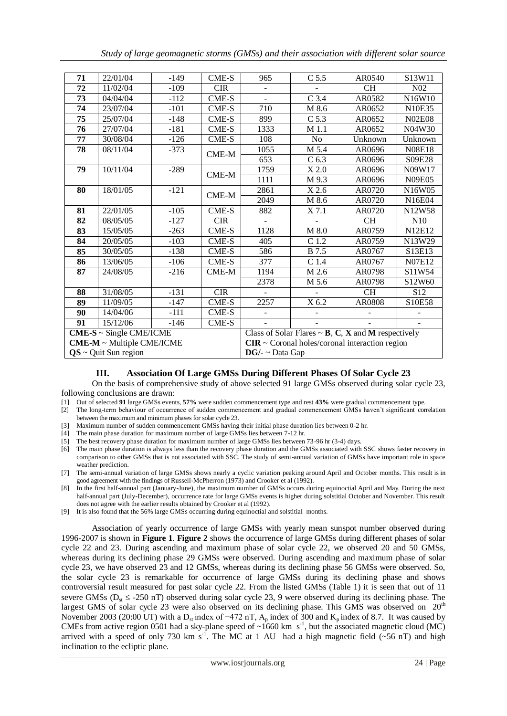| 71                           | 22/01/04 | $-149$ | CME-S        | 965                                                                                   | $C$ 5.5            | AR0540    | S13W11                          |  |
|------------------------------|----------|--------|--------------|---------------------------------------------------------------------------------------|--------------------|-----------|---------------------------------|--|
| 72                           | 11/02/04 | $-109$ | <b>CIR</b>   |                                                                                       |                    | <b>CH</b> | N <sub>0</sub> 2                |  |
| 73                           | 04/04/04 | $-112$ | CME-S        |                                                                                       | $C$ 3.4            | AR0582    | N16W10                          |  |
| 74                           | 23/07/04 | $-101$ | <b>CME-S</b> | 710                                                                                   | M 8.6              | AR0652    | N10E35                          |  |
| 75                           | 25/07/04 | $-148$ | CME-S        | 899                                                                                   | $C$ 5.3            | AR0652    | <b>N02E08</b>                   |  |
| 76                           | 27/07/04 | $-181$ | CME-S        | 1333                                                                                  | M 1.1              | AR0652    | N04W30                          |  |
| 77                           | 30/08/04 | $-126$ | CME-S        | 108                                                                                   | N <sub>o</sub>     | Unknown   | Unknown                         |  |
| 78                           | 08/11/04 | $-373$ | $CME-M$      | 1055                                                                                  | M 5.4              | AR0696    | <b>N08E18</b>                   |  |
|                              |          |        |              | 653                                                                                   | C <sub>6.3</sub>   | AR0696    | S09E28                          |  |
| 79                           | 10/11/04 | $-289$ | CME-M        | 1759                                                                                  | $\overline{X}2.0$  | AR0696    | N09W17                          |  |
|                              |          |        |              | 1111                                                                                  | M 9.3              | AR0696    | <b>N09E05</b>                   |  |
| 80                           | 18/01/05 | $-121$ | CME-M        | 2861                                                                                  | $\overline{X}$ 2.6 | AR0720    | N16W05                          |  |
|                              |          |        |              | 2049                                                                                  | M 8.6              | AR0720    | N16E04                          |  |
| 81                           | 22/01/05 | $-105$ | CME-S        | 882                                                                                   | $X$ 7.1            | AR0720    | N <sub>12</sub> W <sub>58</sub> |  |
| 82                           | 08/05/05 | $-127$ | <b>CIR</b>   |                                                                                       |                    | <b>CH</b> | N10                             |  |
| 83                           | 15/05/05 | $-263$ | <b>CME-S</b> | 1128                                                                                  | M 8.0              | AR0759    | N12E12                          |  |
| 84                           | 20/05/05 | $-103$ | CME-S        | 405                                                                                   | $C$ 1.2            | AR0759    | N13W29                          |  |
| 85                           | 30/05/05 | $-138$ | CME-S        | 586                                                                                   | <b>B</b> 7.5       | AR0767    | S13E13                          |  |
| 86                           | 13/06/05 | $-106$ | <b>CME-S</b> | 377                                                                                   | $C$ 1.4            | AR0767    | N07E12                          |  |
| 87                           | 24/08/05 | $-216$ | CME-M        | 1194                                                                                  | M 2.6              | AR0798    | S11W54                          |  |
|                              |          |        |              | 2378                                                                                  | M 5.6              | AR0798    | S12W60                          |  |
| 88                           | 31/08/05 | $-131$ | <b>CIR</b>   |                                                                                       |                    | <b>CH</b> | S <sub>12</sub>                 |  |
| 89                           | 11/09/05 | $-147$ | CME-S        | 2257                                                                                  | X 6.2              | AR0808    | S10E58                          |  |
| 90                           | 14/04/06 | $-111$ | <b>CME-S</b> |                                                                                       |                    |           |                                 |  |
| 91                           | 15/12/06 | $-146$ | <b>CME-S</b> |                                                                                       |                    |           |                                 |  |
| $CME-S \sim$ Single CME/ICME |          |        |              | Class of Solar Flares $\sim$ <b>B</b> , <b>C</b> , <b>X</b> and <b>M</b> respectively |                    |           |                                 |  |
| CME-M ~ Multiple CME/ICME    |          |        |              | $CIR \sim$ Coronal holes/coronal interaction region                                   |                    |           |                                 |  |
| $QS \sim$ Quit Sun region    |          |        |              | $DG/- \sim Data Gap$                                                                  |                    |           |                                 |  |

## **III. Association Of Large GMSs During Different Phases Of Solar Cycle 23**

On the basis of comprehensive study of above selected 91 large GMSs observed during solar cycle 23, following conclusions are drawn:

- [1] Out of selected **91** large GMSs events, **57%** were sudden commencement type and rest **43%** were gradual commencement type.
- [2] The long-term behaviour of occurrence of sudden commencement and gradual commencement GMSs haven't significant correlation between the maximum and minimum phases for solar cycle 23.
- [3] Maximum number of sudden commencement GMSs having their initial phase duration lies between 0-2 hr.

[4] The main phase duration for maximum number of large GMSs lies between 7-12 hr.

[5] The best recovery phase duration for maximum number of large GMSs lies between 73-96 hr (3-4) days.

[6] The main phase duration is always less than the recovery phase duration and the GMSs associated with SSC shows faster recovery in comparison to other GMSs that is not associated with SSC. The study of semi-annual variation of GMSs have important role in space weather prediction.

[7] The semi-annual variation of large GMSs shows nearly a cyclic variation peaking around April and October months. This result is in good agreement with the findings of Russell-McPherron (1973) and Crooker et al (1992).

[8] In the first half-annual part (January-June), the maximum number of GMSs occurs during equinoctial April and May. During the next half-annual part (July-December), occurrence rate for large GMSs events is higher during solstitial October and November. This result does not agree with the earlier results obtained by Crooker et al (1992).

[9] It is also found that the 56% large GMSs occurring during equinoctial and solstitial months.

Association of yearly occurrence of large GMSs with yearly mean sunspot number observed during 1996-2007 is shown in **Figure 1**. **Figure 2** shows the occurrence of large GMSs during different phases of solar cycle 22 and 23. During ascending and maximum phase of solar cycle 22, we observed 20 and 50 GMSs, whereas during its declining phase 29 GMSs were observed. During ascending and maximum phase of solar cycle 23, we have observed 23 and 12 GMSs, whereas during its declining phase 56 GMSs were observed. So, the solar cycle 23 is remarkable for occurrence of large GMSs during its declining phase and shows controversial result measured for past solar cycle 22. From the listed GMSs (Table 1) it is seen that out of 11 severe GMSs ( $D_{st} \leq -250$  nT) observed during solar cycle 23, 9 were observed during its declining phase. The largest GMS of solar cycle 23 were also observed on its declining phase. This GMS was observed on  $20<sup>th</sup>$ November 2003 (20:00 UT) with a  $D_{st}$  index of −472 nT, A<sub>p</sub> index of 300 and K<sub>p</sub> index of 8.7. It was caused by CMEs from active region 0501 had a sky-plane speed of  $\sim 1660$  km s<sup>-1</sup>, but the associated magnetic cloud (MC) arrived with a speed of only 730 km s<sup>-1</sup>. The MC at 1 AU had a high magnetic field ( $\sim$ 56 nT) and high inclination to the ecliptic plane.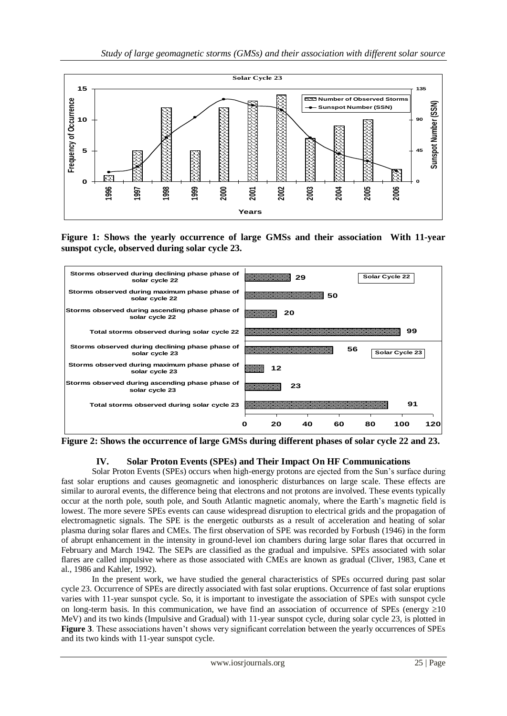

**Figure 1: Shows the yearly occurrence of large GMSs and their association With 11-year sunspot cycle, observed during solar cycle 23.**



**Figure 2: Shows the occurrence of large GMSs during different phases of solar cycle 22 and 23.**

## **IV. Solar Proton Events (SPEs) and Their Impact On HF Communications**

Solar Proton Events (SPEs) occurs when high-energy [protons](http://www.answers.com/main/ntquery?method=4&dsid=2222&dekey=Proton&gwp=8&curtab=2222_1) are ejected from the Sun's surface during fast solar eruptions and causes geomagnetic and ionospheric disturbances on large scale. These effects are similar to [auroral](http://www.answers.com/main/ntquery?method=4&dsid=2222&dekey=Aurora+%28astronomy%29&gwp=8&curtab=2222_1) events, the difference being that [electrons](http://www.answers.com/main/ntquery?method=4&dsid=2222&dekey=Electron&gwp=8&curtab=2222_1) and not protons are involved. These events typically occur at the [north pole,](http://www.answers.com/main/ntquery?method=4&dsid=2222&dekey=North+Pole&gwp=8&curtab=2222_1) [south pole,](http://www.answers.com/main/ntquery?method=4&dsid=2222&dekey=South+Pole&gwp=8&curtab=2222_1) and [South Atlantic magnetic anomaly,](http://www.answers.com/main/ntquery?method=4&dsid=2222&dekey=South+Atlantic+Anomaly&gwp=8&curtab=2222_1) where the [Earth's magnetic field](http://www.answers.com/main/ntquery?method=4&dsid=2222&dekey=Earth%27s+magnetic+field&gwp=8&curtab=2222_1) is lowest. The more severe SPEs events can cause widespread disruption to [electrical grids](http://www.answers.com/main/ntquery?method=4&dsid=2222&dekey=Electric+power+transmission&gwp=8&curtab=2222_1) and th[e propagation](http://www.answers.com/main/ntquery?method=4&dsid=2222&dekey=Propagation&gwp=8&curtab=2222_1) of [electromagnetic signals.](http://www.answers.com/main/ntquery?method=4&dsid=2222&dekey=Radio&gwp=8&curtab=2222_1) The SPE is the energetic outbursts as a result of acceleration and heating of solar plasma during solar flares and CMEs. The first observation of SPE was recorded by Forbush (1946) in the form of abrupt enhancement in the intensity in ground-level ion chambers during large solar flares that occurred in February and March 1942. The SEPs are classified as the gradual and impulsive. SPEs associated with solar flares are called impulsive where as those associated with CMEs are known as gradual (Cliver, 1983, Cane et al., 1986 and Kahler, 1992).

In the present work, we have studied the general characteristics of SPEs occurred during past solar cycle 23. Occurrence of SPEs are directly associated with fast solar eruptions. Occurrence of fast solar eruptions varies with 11-year sunspot cycle. So, it is important to investigate the association of SPEs with sunspot cycle on long-term basis. In this communication, we have find an association of occurrence of SPEs (energy  $\geq 10$ ) MeV) and its two kinds (Impulsive and Gradual) with 11-year sunspot cycle, during solar cycle 23, is plotted in **Figure 3**. These associations haven't shows very significant correlation between the yearly occurrences of SPEs and its two kinds with 11-year sunspot cycle.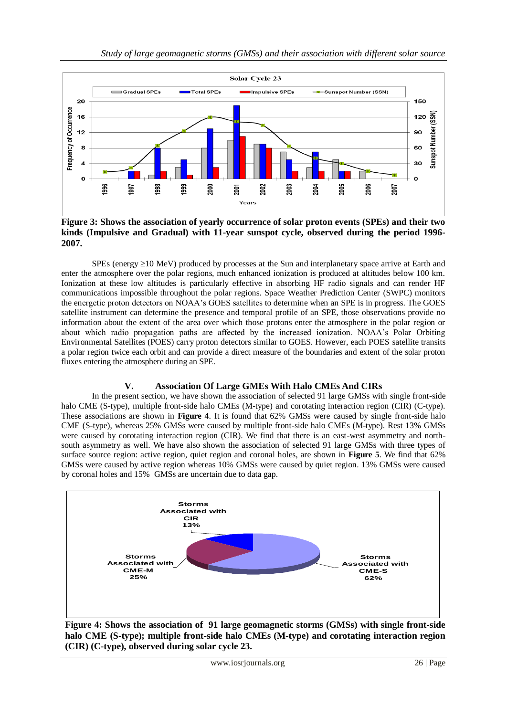

**Figure 3: Shows the association of yearly occurrence of solar proton events (SPEs) and their two kinds (Impulsive and Gradual) with 11-year sunspot cycle, observed during the period 1996- 2007.**

SPEs (energy  $\geq$  10 MeV) produced by processes at the Sun and interplanetary space arrive at Earth and enter the atmosphere over the polar regions, much enhanced ionization is produced at altitudes below 100 km. Ionization at these low altitudes is particularly effective in absorbing HF radio signals and can render HF communications impossible throughout the polar regions. Space Weather Prediction Center (SWPC) monitors the [energetic proton detectors on NOAA's GOES satellites](http://www.swpc.noaa.gov/rt_plots/pro_3d.html) to determine when an SPE is in progress. The GOES satellite instrument can determine the presence and temporal profile of an SPE, those observations provide no information about the extent of the area over which those protons enter the atmosphere in the polar region or about which radio propagation paths are affected by the increased ionization. NOAA's Polar Orbiting Environmental Satellites (POES) carry proton detectors similar to GOES. However, each POES satellite transits a polar region twice each orbit and can provide a direct measure of the boundaries and extent of the solar proton fluxes entering the atmosphere during an SPE.

## **V. Association Of Large GMEs With Halo CMEs And CIRs**

In the present section, we have shown the association of selected 91 large GMSs with single front-side halo CME (S-type), multiple front-side halo CMEs (M-type) and corotating interaction region (CIR) (C-type). These associations are shown in **Figure 4**. It is found that 62% GMSs were caused by single front-side halo CME (S-type), whereas 25% GMSs were caused by multiple front-side halo CMEs (M-type). Rest 13% GMSs were caused by corotating interaction region (CIR). We find that there is an east-west asymmetry and northsouth asymmetry as well. We have also shown the association of selected 91 large GMSs with three types of surface source region: active region, quiet region and coronal holes, are shown in **Figure 5**. We find that 62% GMSs were caused by active region whereas 10% GMSs were caused by quiet region. 13% GMSs were caused by coronal holes and 15% GMSs are uncertain due to data gap.



**Figure 4: Shows the association of 91 large geomagnetic storms (GMSs) with single front-side halo CME (S-type); multiple front-side halo CMEs (M-type) and corotating interaction region (CIR) (C-type), observed during solar cycle 23.**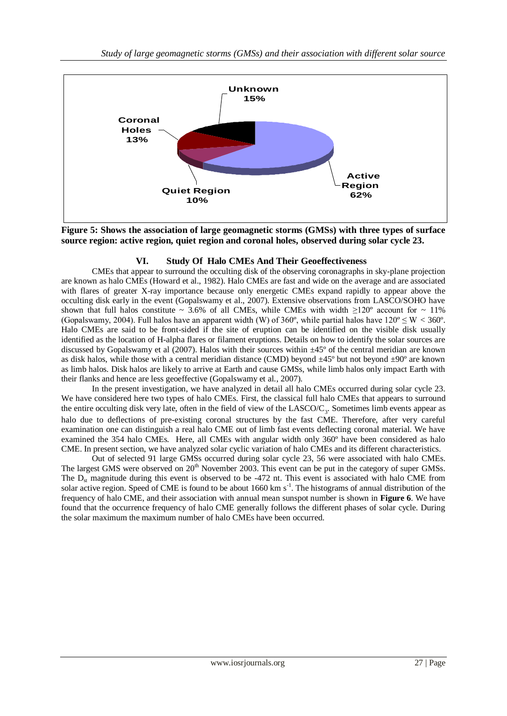

**Figure 5: Shows the association of large geomagnetic storms (GMSs) with three types of surface source region: active region, quiet region and coronal holes, observed during solar cycle 23.**

## **VI. Study Of Halo CMEs And Their Geoeffectiveness**

CMEs that appear to surround the occulting disk of the observing coronagraphs in sky-plane projection are known as halo CMEs (Howard et al., 1982). Halo CMEs are fast and wide on the average and are associated with flares of greater X-ray importance because only energetic CMEs expand rapidly to appear above the occulting disk early in the event (Gopalswamy et al., 2007). Extensive observations from LASCO/SOHO have shown that full halos constitute ~ 3.6% of all CMEs, while CMEs with width  $\geq 120^{\circ}$  account for ~ 11% (Gopalswamy, 2004). Full halos have an apparent width (W) of  $360^{\circ}$ , while partial halos have  $120^{\circ} \le W < 360^{\circ}$ . Halo CMEs are said to be front-sided if the site of eruption can be identified on the visible disk usually identified as the location of H-alpha flares or filament eruptions. Details on how to identify the solar sources are discussed by Gopalswamy et al (2007). Halos with their sources within  $\pm$ 45 $\degree$  of the central meridian are known as disk halos, while those with a central meridian distance (CMD) beyond  $\pm$ 45<sup>o</sup> but not beyond  $\pm$ 90<sup>o</sup> are known as limb halos. Disk halos are likely to arrive at Earth and cause GMSs, while limb halos only impact Earth with their flanks and hence are less geoeffective (Gopalswamy et al*.*, 2007).

In the present investigation, we have analyzed in detail all halo CMEs occurred during solar cycle 23. We have considered here two types of halo CMEs. First, the classical full halo CMEs that appears to surround the entire occulting disk very late, often in the field of view of the  $LASCO/C<sub>3</sub>$ . Sometimes limb events appear as halo due to deflections of pre-existing coronal structures by the fast CME. Therefore, after very careful examination one can distinguish a real halo CME out of limb fast events deflecting coronal material. We have examined the 354 halo CMEs. Here, all CMEs with angular width only 360º have been considered as halo CME. In present section, we have analyzed solar cyclic variation of halo CMEs and its different characteristics.

Out of selected 91 large GMSs occurred during solar cycle 23, 56 were associated with halo CMEs. The largest GMS were observed on 20<sup>th</sup> November 2003. This event can be put in the category of super GMSs. The  $D_{st}$  magnitude during this event is observed to be -472 nt. This event is associated with halo CME from solar active region. Speed of CME is found to be about 1660 km  $s^{-1}$ . The histograms of annual distribution of the frequency of halo CME, and their association with annual mean sunspot number is shown in **Figure 6**. We have found that the occurrence frequency of halo CME generally follows the different phases of solar cycle. During the solar maximum the maximum number of halo CMEs have been occurred.